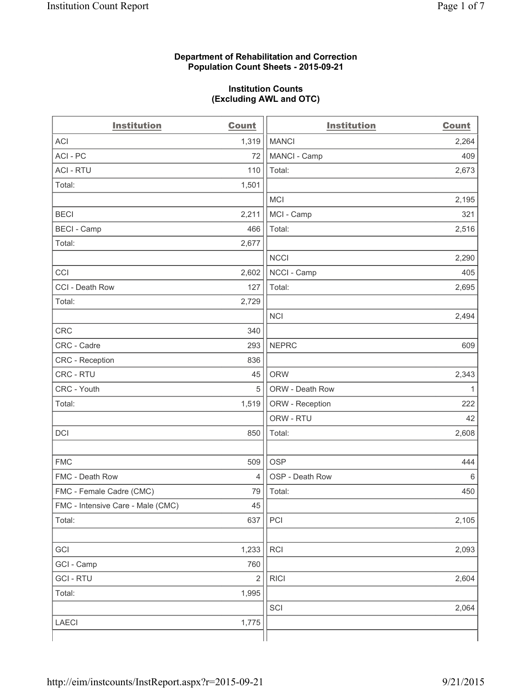## **Department of Rehabilitation and Correction Population Count Sheets - 2015-09-21**

### **Institution Counts (Excluding AWL and OTC)**

| <b>Institution</b>                | <b>Count</b>   | <b>Institution</b> | <b>Count</b> |
|-----------------------------------|----------------|--------------------|--------------|
| <b>ACI</b>                        | 1,319          | <b>MANCI</b>       | 2,264        |
| ACI-PC                            | 72             | MANCI - Camp       | 409          |
| <b>ACI - RTU</b>                  | 110            | Total:             | 2,673        |
| Total:                            | 1,501          |                    |              |
|                                   |                | <b>MCI</b>         | 2,195        |
| <b>BECI</b>                       | 2,211          | MCI - Camp         | 321          |
| <b>BECI - Camp</b>                | 466            | Total:             | 2,516        |
| Total:                            | 2,677          |                    |              |
|                                   |                | <b>NCCI</b>        | 2,290        |
| CCI                               | 2,602          | NCCI - Camp        | 405          |
| CCI - Death Row                   | 127            | Total:             | 2,695        |
| Total:                            | 2,729          |                    |              |
|                                   |                | <b>NCI</b>         | 2,494        |
| <b>CRC</b>                        | 340            |                    |              |
| CRC - Cadre                       | 293            | <b>NEPRC</b>       | 609          |
| CRC - Reception                   | 836            |                    |              |
| CRC - RTU                         | 45             | <b>ORW</b>         | 2,343        |
| CRC - Youth                       | 5              | ORW - Death Row    | 1            |
| Total:                            | 1,519          | ORW - Reception    | 222          |
|                                   |                | ORW - RTU          | 42           |
| DCI                               | 850            | Total:             | 2,608        |
|                                   |                |                    |              |
| <b>FMC</b>                        | 509            | <b>OSP</b>         | 444          |
| FMC - Death Row                   | $\overline{4}$ | OSP - Death Row    | 6            |
| FMC - Female Cadre (CMC)          | 79             | Total:             | 450          |
| FMC - Intensive Care - Male (CMC) | 45             |                    |              |
| Total:                            | 637            | PCI                | 2,105        |
|                                   |                |                    |              |
| GCI                               | 1,233          | <b>RCI</b>         | 2,093        |
| GCI - Camp                        | 760            |                    |              |
| <b>GCI-RTU</b>                    | $\overline{2}$ | <b>RICI</b>        | 2,604        |
| Total:                            | 1,995          |                    |              |
|                                   |                | SCI                | 2,064        |
| LAECI                             | 1,775          |                    |              |
|                                   |                |                    |              |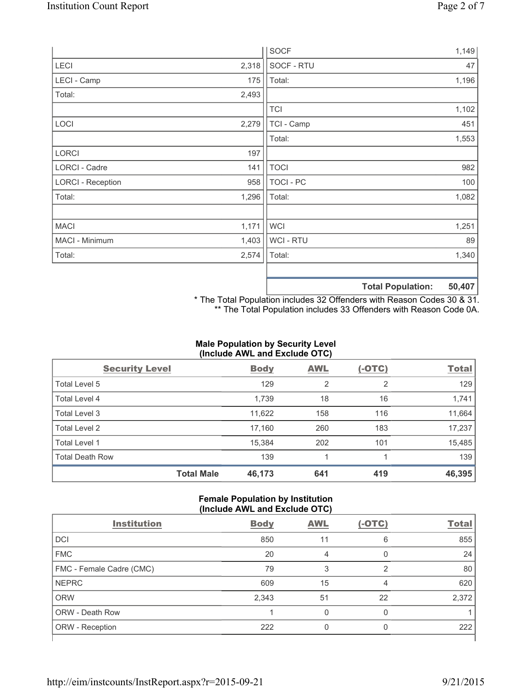|                          |       | <b>SOCF</b>      | 1,149                                     |
|--------------------------|-------|------------------|-------------------------------------------|
| <b>LECI</b>              | 2,318 | SOCF - RTU       | 47                                        |
| LECI - Camp              | 175   | Total:           | 1,196                                     |
| Total:                   | 2,493 |                  |                                           |
|                          |       | <b>TCI</b>       | 1,102                                     |
| LOCI                     | 2,279 | TCI - Camp       | 451                                       |
|                          |       | Total:           | 1,553                                     |
| <b>LORCI</b>             | 197   |                  |                                           |
| LORCI - Cadre            | 141   | <b>TOCI</b>      | 982                                       |
| <b>LORCI - Reception</b> | 958   | <b>TOCI - PC</b> | 100                                       |
| Total:                   | 1,296 | Total:           | 1,082                                     |
|                          |       |                  |                                           |
| <b>MACI</b>              | 1,171 | <b>WCI</b>       | 1,251                                     |
| MACI - Minimum           | 1,403 | WCI - RTU        | 89                                        |
| Total:                   | 2,574 | Total:           | 1,340                                     |
|                          |       |                  |                                           |
|                          |       |                  | <b>50 407</b><br><b>Total Donulation:</b> |

**Total Population: 50,407**

\* The Total Population includes 32 Offenders with Reason Codes 30 & 31. \*\* The Total Population includes 33 Offenders with Reason Code 0A.

# **Male Population by Security Level (Include AWL and Exclude OTC)**

| <b>Security Level</b>  |                   | <b>Body</b> | <b>AWL</b> | $(-OTC)$       | <b>Total</b> |
|------------------------|-------------------|-------------|------------|----------------|--------------|
| Total Level 5          |                   | 129         | 2          | $\overline{2}$ | 129          |
| <b>Total Level 4</b>   |                   | 1,739       | 18         | 16             | 1,741        |
| Total Level 3          |                   | 11,622      | 158        | 116            | 11,664       |
| Total Level 2          |                   | 17,160      | 260        | 183            | 17,237       |
| <b>Total Level 1</b>   |                   | 15,384      | 202        | 101            | 15,485       |
| <b>Total Death Row</b> |                   | 139         |            |                | 139          |
|                        | <b>Total Male</b> | 46,173      | 641        | 419            | 46,395       |

### **Female Population by Institution (Include AWL and Exclude OTC)**

| <b>Institution</b>       | <b>Body</b> | <b>AWL</b> | (-OTC) | <b>Total</b> |
|--------------------------|-------------|------------|--------|--------------|
| DCI                      | 850         | 11         | 6      | 855          |
| <b>FMC</b>               | 20          | 4          | 0      | 24           |
| FMC - Female Cadre (CMC) | 79          | З          | っ      | 80           |
| <b>NEPRC</b>             | 609         | 15         | 4      | 620          |
| <b>ORW</b>               | 2,343       | 51         | 22     | 2,372        |
| <b>ORW - Death Row</b>   |             |            | 0      |              |
| ORW - Reception          | 222         |            | 0      | 222          |
|                          |             |            |        |              |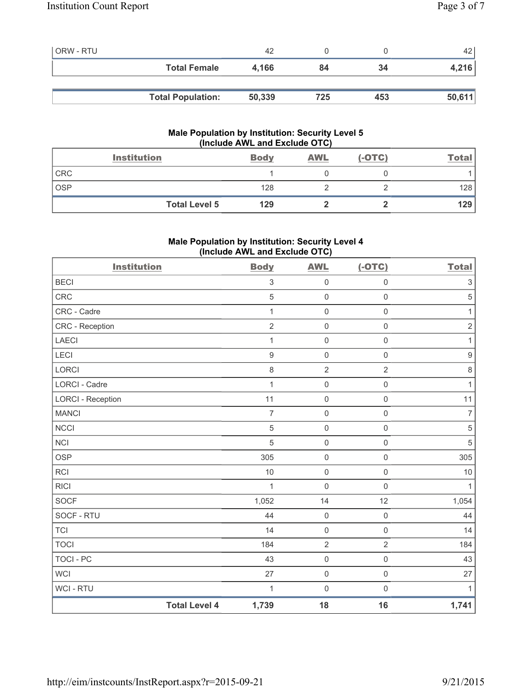| <b>ORW - RTU</b> |                          | 42     |     |     | 42     |
|------------------|--------------------------|--------|-----|-----|--------|
|                  | <b>Total Female</b>      | 4,166  | 84  | 34  | 4,216  |
|                  |                          |        |     |     |        |
|                  | <b>Total Population:</b> | 50,339 | 725 | 453 | 50,611 |

# **Male Population by Institution: Security Level 5 (Include AWL and Exclude OTC)**

|            | <b>Institution</b>   | <b>Body</b> | <b>AWL</b> | $(-OTC)$ | <b>Total</b> |
|------------|----------------------|-------------|------------|----------|--------------|
| <b>CRC</b> |                      |             |            |          |              |
| <b>OSP</b> |                      | 128         |            |          | 128          |
|            | <b>Total Level 5</b> | 129         |            |          | 129          |

# **Male Population by Institution: Security Level 4 (Include AWL and Exclude OTC)**

| <b>Institution</b>       |                      | <b>Body</b>    | <b>AWL</b>          | $(-OTC)$            | <b>Total</b>              |
|--------------------------|----------------------|----------------|---------------------|---------------------|---------------------------|
| <b>BECI</b>              |                      | 3              | $\mathsf 0$         | $\mathsf{O}\xspace$ | $\ensuremath{\mathsf{3}}$ |
| CRC                      |                      | 5              | $\mathsf 0$         | $\mathsf 0$         | $\sqrt{5}$                |
| CRC - Cadre              |                      | 1              | $\mathsf 0$         | $\mathsf{O}\xspace$ | 1                         |
| CRC - Reception          |                      | $\overline{2}$ | $\mathsf 0$         | $\mathsf{O}\xspace$ | $\sqrt{2}$                |
| <b>LAECI</b>             |                      | 1              | $\mathsf 0$         | $\mathsf 0$         | 1                         |
| LECI                     |                      | $\hbox{9}$     | $\mathsf 0$         | $\mathsf{O}\xspace$ | $\boldsymbol{9}$          |
| LORCI                    |                      | 8              | $\mathbf 2$         | $\overline{2}$      | $\,8\,$                   |
| <b>LORCI - Cadre</b>     |                      | 1              | $\mathsf 0$         | $\mathsf{O}\xspace$ | $\mathbf{1}$              |
| <b>LORCI - Reception</b> |                      | 11             | $\mathsf 0$         | $\mathsf{O}\xspace$ | 11                        |
| <b>MANCI</b>             |                      | $\overline{7}$ | $\mathsf 0$         | $\mathsf{O}\xspace$ | $\overline{7}$            |
| <b>NCCI</b>              |                      | 5              | $\mathsf 0$         | $\mathsf{O}\xspace$ | $\sqrt{5}$                |
| <b>NCI</b>               |                      | 5              | $\mathsf{O}\xspace$ | $\mathsf{O}\xspace$ | $\sqrt{5}$                |
| <b>OSP</b>               |                      | 305            | $\mathsf 0$         | $\mathsf{O}\xspace$ | 305                       |
| <b>RCI</b>               |                      | $10$           | $\mathsf{O}\xspace$ | $\mathsf{O}\xspace$ | 10                        |
| <b>RICI</b>              |                      | $\mathbf{1}$   | $\mathsf{O}\xspace$ | $\mathsf{O}\xspace$ | $\mathbf{1}$              |
| <b>SOCF</b>              |                      | 1,052          | 14                  | 12                  | 1,054                     |
| SOCF - RTU               |                      | 44             | $\mathbf 0$         | $\mathsf 0$         | 44                        |
| <b>TCI</b>               |                      | 14             | $\mathbf 0$         | $\mathbf 0$         | 14                        |
| <b>TOCI</b>              |                      | 184            | $\overline{2}$      | $\overline{2}$      | 184                       |
| <b>TOCI - PC</b>         |                      | 43             | $\mathsf 0$         | $\mathsf{O}\xspace$ | 43                        |
| <b>WCI</b>               |                      | 27             | $\mathsf{O}\xspace$ | $\mathsf{O}\xspace$ | 27                        |
| WCI - RTU                |                      | 1              | $\mathbf 0$         | $\mathsf{O}\xspace$ | 1                         |
|                          | <b>Total Level 4</b> | 1,739          | 18                  | 16                  | 1,741                     |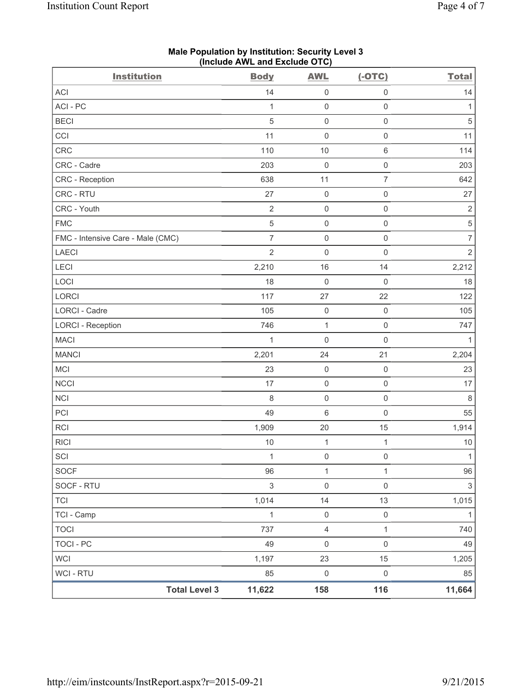| <b>Institution</b>                | $($ mcluut $R$ ive and excluut $O(O)$<br><b>Body</b> | <b>AWL</b>          | $(-OTC)$            | <b>Total</b>   |
|-----------------------------------|------------------------------------------------------|---------------------|---------------------|----------------|
| ACI                               | 14                                                   | 0                   | 0                   | 14             |
| ACI-PC                            | $\mathbf{1}$                                         | $\mathsf{O}\xspace$ | $\mathsf 0$         | 1              |
| <b>BECI</b>                       | 5                                                    | $\mathsf{O}\xspace$ | $\mathsf 0$         | $\sqrt{5}$     |
| CCI                               | 11                                                   | $\mathsf{O}\xspace$ | $\mathsf 0$         | 11             |
| CRC                               | 110                                                  | 10                  | $\,6\,$             | 114            |
| CRC - Cadre                       | 203                                                  | $\mathsf{O}\xspace$ | $\mathsf 0$         | 203            |
| <b>CRC</b> - Reception            | 638                                                  | 11                  | $\overline{7}$      | 642            |
| CRC - RTU                         | 27                                                   | $\mathsf{O}\xspace$ | $\mathsf 0$         | 27             |
| CRC - Youth                       | $\sqrt{2}$                                           | $\mathsf 0$         | $\mathsf 0$         | $\mathbf 2$    |
| <b>FMC</b>                        | $\sqrt{5}$                                           | $\mathsf{O}\xspace$ | $\mathsf 0$         | $\,$ 5 $\,$    |
| FMC - Intensive Care - Male (CMC) | $\overline{7}$                                       | $\mathsf{O}\xspace$ | $\mathsf 0$         | $\overline{7}$ |
| <b>LAECI</b>                      | $\overline{2}$                                       | $\mathsf{O}\xspace$ | $\mathsf 0$         | $\overline{2}$ |
| LECI                              | 2,210                                                | 16                  | 14                  | 2,212          |
| LOCI                              | 18                                                   | $\mathsf{O}\xspace$ | $\mathsf 0$         | 18             |
| LORCI                             | 117                                                  | 27                  | 22                  | 122            |
| LORCI - Cadre                     | 105                                                  | $\mathsf{O}\xspace$ | $\mathbf 0$         | 105            |
| <b>LORCI - Reception</b>          | 746                                                  | $\mathbf{1}$        | $\mathsf 0$         | 747            |
| <b>MACI</b>                       | 1                                                    | $\mathsf{O}\xspace$ | $\mathbf 0$         | 1              |
| <b>MANCI</b>                      | 2,201                                                | 24                  | 21                  | 2,204          |
| MCI                               | 23                                                   | $\mathsf{O}\xspace$ | $\mathbf 0$         | 23             |
| <b>NCCI</b>                       | 17                                                   | $\mathsf{O}\xspace$ | $\mathsf 0$         | 17             |
| NCI                               | 8                                                    | $\mathsf{O}\xspace$ | $\mathsf 0$         | $\,8\,$        |
| PCI                               | 49                                                   | 6                   | $\mathbf 0$         | 55             |
| <b>RCI</b>                        | 1,909                                                | 20                  | 15                  | 1,914          |
| <b>RICI</b>                       | 10                                                   | $\mathbf{1}$        | $\mathbf{1}$        | $10$           |
| SCI                               | 1                                                    | $\mathsf 0$         | $\mathsf 0$         | $\mathbf{1}$   |
| SOCF                              | 96                                                   | $\mathbf 1$         | 1                   | 96             |
| SOCF - RTU                        | $\mathsf 3$                                          | $\mathsf{O}\xspace$ | $\mathbf 0$         | $\mathfrak{S}$ |
| <b>TCI</b>                        | 1,014                                                | 14                  | 13                  | 1,015          |
| TCI - Camp                        | 1                                                    | $\mathsf{O}\xspace$ | $\mathsf{O}\xspace$ | $\mathbf{1}$   |
| <b>TOCI</b>                       | 737                                                  | $\overline{4}$      | $\mathbf{1}$        | 740            |
| <b>TOCI - PC</b>                  | 49                                                   | 0                   | $\mathsf{O}\xspace$ | 49             |
| <b>WCI</b>                        | 1,197                                                | 23                  | 15                  | 1,205          |
| WCI - RTU                         | 85                                                   | $\mathsf{O}\xspace$ | $\mathsf 0$         | 85             |
| <b>Total Level 3</b>              | 11,622                                               | 158                 | 116                 | 11,664         |

### **Male Population by Institution: Security Level 3 (Include AWL and Exclude OTC)**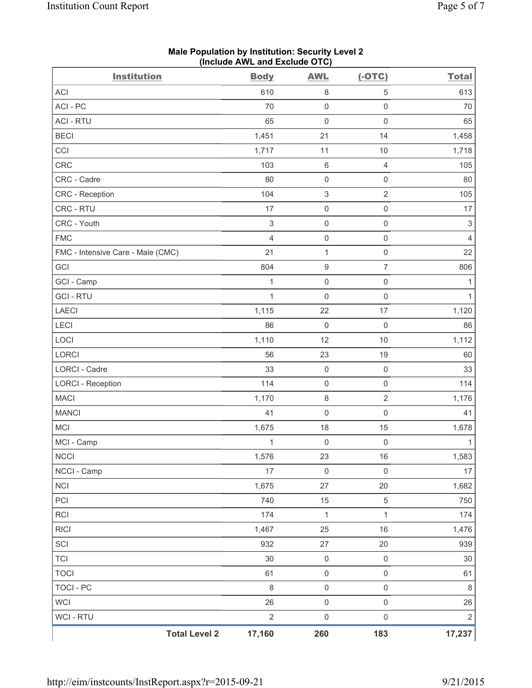| <b>Institution</b>                | <b>Body</b>               | <b>AWL</b>          | $(-OTC)$            | <b>Total</b>              |
|-----------------------------------|---------------------------|---------------------|---------------------|---------------------------|
| <b>ACI</b>                        | 610                       | $\,8\,$             | 5                   | 613                       |
| ACI - PC                          | 70                        | $\mathsf 0$         | $\mathsf 0$         | 70                        |
| <b>ACI - RTU</b>                  | 65                        | $\mathsf{O}\xspace$ | $\mathbf 0$         | 65                        |
| <b>BECI</b>                       | 1,451                     | 21                  | 14                  | 1,458                     |
| CCI                               | 1,717                     | 11                  | 10                  | 1,718                     |
| <b>CRC</b>                        | 103                       | $\,6\,$             | $\overline{4}$      | 105                       |
| CRC - Cadre                       | 80                        | $\mathsf{O}\xspace$ | $\mathsf{O}\xspace$ | 80                        |
| CRC - Reception                   | 104                       | $\,$ 3 $\,$         | $\sqrt{2}$          | 105                       |
| CRC - RTU                         | 17                        | $\mathsf{O}\xspace$ | $\mathsf{O}\xspace$ | 17                        |
| CRC - Youth                       | $\ensuremath{\mathsf{3}}$ | $\mathsf{O}\xspace$ | $\mathsf{O}\xspace$ | $\ensuremath{\mathsf{3}}$ |
| <b>FMC</b>                        | 4                         | $\mathsf{O}\xspace$ | $\mathsf{O}\xspace$ | $\overline{4}$            |
| FMC - Intensive Care - Male (CMC) | 21                        | $\mathbf{1}$        | $\mathsf 0$         | 22                        |
| GCI                               | 804                       | $\boldsymbol{9}$    | $\overline{7}$      | 806                       |
| GCI - Camp                        | 1                         | $\mathsf{O}\xspace$ | $\mathsf 0$         | $\mathbf{1}$              |
| <b>GCI-RTU</b>                    | $\mathbf{1}$              | $\mathbf 0$         | $\mathsf 0$         | $\mathbf{1}$              |
| <b>LAECI</b>                      | 1,115                     | 22                  | 17                  | 1,120                     |
| LECI                              | 86                        | $\mathbf 0$         | $\mathsf 0$         | 86                        |
| LOCI                              | 1,110                     | 12                  | 10                  | 1,112                     |
| LORCI                             | 56                        | 23                  | 19                  | 60                        |
| LORCI - Cadre                     | 33                        | $\mathsf{O}\xspace$ | $\mathsf{O}\xspace$ | 33                        |
| <b>LORCI - Reception</b>          | 114                       | $\mathsf{O}\xspace$ | $\mathsf{O}\xspace$ | 114                       |
| <b>MACI</b>                       | 1,170                     | $\,8\,$             | $\sqrt{2}$          | 1,176                     |
| <b>MANCI</b>                      | 41                        | $\mathsf{O}\xspace$ | $\mathsf 0$         | 41                        |
| MCI                               | 1,675                     | 18                  | 15                  | 1,678                     |
| MCI - Camp                        | $\mathbf{1}$              | $\mathsf{O}\xspace$ | $\mathsf 0$         | $\mathbf{1}$              |
| <b>NCCI</b>                       | 1,576                     | 23                  | 16                  | 1,583                     |
| NCCI - Camp                       | 17                        | $\mathsf{O}\xspace$ | $\mathsf 0$         | 17                        |
| <b>NCI</b>                        | 1,675                     | 27                  | 20                  | 1,682                     |
| PCI                               | 740                       | 15                  | $\,$ 5 $\,$         | 750                       |
| <b>RCI</b>                        | 174                       | $\mathbf{1}$        | $\mathbf{1}$        | 174                       |
| <b>RICI</b>                       | 1,467                     | 25                  | 16                  | 1,476                     |
| SCI                               | 932                       | 27                  | 20                  | 939                       |
| <b>TCI</b>                        | 30                        | $\mathsf{O}\xspace$ | $\mathsf 0$         | 30                        |
| <b>TOCI</b>                       | 61                        | $\mathsf{O}\xspace$ | $\mathsf 0$         | 61                        |
| <b>TOCI - PC</b>                  | 8                         | $\mathsf{O}\xspace$ | $\mathsf{O}\xspace$ | $\,8\,$                   |
| <b>WCI</b>                        | 26                        | $\mathsf{O}\xspace$ | $\mathsf 0$         | 26                        |
| WCI - RTU                         | $\overline{2}$            | $\mathsf{O}\xspace$ | $\mathsf{O}\xspace$ | $\sqrt{2}$                |
| <b>Total Level 2</b>              | 17,160                    | 260                 | 183                 | 17,237                    |

**Male Population by Institution: Security Level 2 (Include AWL and Exclude OTC)**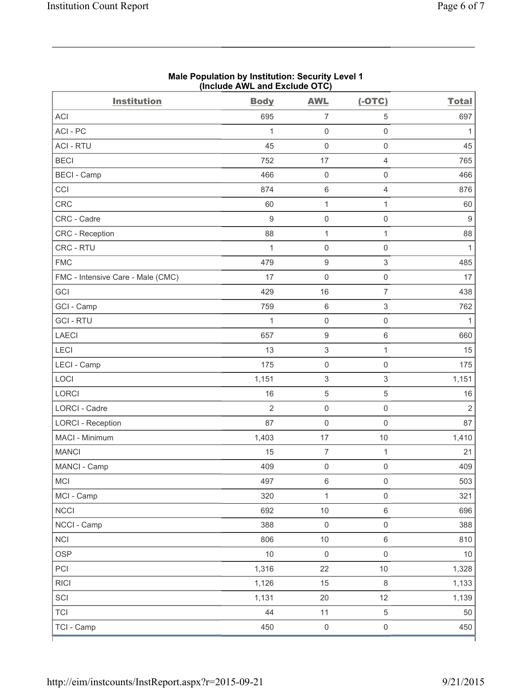| <b>Institution</b>                | (include AVVL and Exclude $O(O)$<br><b>Body</b> | <b>AWL</b>                | $(-OTC)$                  | <b>Total</b>   |
|-----------------------------------|-------------------------------------------------|---------------------------|---------------------------|----------------|
| ACI                               | 695                                             | $\overline{7}$            | $\,$ 5 $\,$               | 697            |
| ACI - PC                          | 1                                               | $\mathsf{O}\xspace$       | $\mathsf 0$               | 1              |
| <b>ACI - RTU</b>                  | 45                                              | $\mathsf 0$               | $\mathsf{O}\xspace$       | 45             |
| <b>BECI</b>                       | 752                                             | 17                        | $\overline{4}$            | 765            |
| <b>BECI - Camp</b>                | 466                                             | $\mathsf 0$               | $\mathsf{O}\xspace$       | 466            |
| CCI                               | 874                                             | $\,6$                     | $\overline{4}$            | 876            |
| CRC                               | 60                                              | $\mathbf{1}$              | $\mathbf{1}$              | 60             |
| CRC - Cadre                       | $9$                                             | $\mathsf 0$               | $\mathsf{O}\xspace$       | 9              |
| CRC - Reception                   | 88                                              | $\mathbf{1}$              | $\mathbf{1}$              | 88             |
| CRC - RTU                         | 1                                               | $\mathsf 0$               | $\mathsf 0$               | $\mathbf{1}$   |
| <b>FMC</b>                        | 479                                             | $\boldsymbol{9}$          | $\ensuremath{\mathsf{3}}$ | 485            |
| FMC - Intensive Care - Male (CMC) | 17                                              | $\mathsf 0$               | $\mathsf{O}\xspace$       | 17             |
| GCI                               | 429                                             | 16                        | $\overline{7}$            | 438            |
| GCI - Camp                        | 759                                             | $\,6$                     | $\ensuremath{\mathsf{3}}$ | 762            |
| <b>GCI-RTU</b>                    | 1                                               | $\mathsf{O}\xspace$       | $\mathsf 0$               | 1              |
| <b>LAECI</b>                      | 657                                             | $\boldsymbol{9}$          | $\,6\,$                   | 660            |
| LECI                              | 13                                              | 3                         | $\mathbf{1}$              | 15             |
| LECI - Camp                       | 175                                             | $\mathsf{O}\xspace$       | $\mathsf{O}\xspace$       | 175            |
| LOCI                              | 1,151                                           | $\ensuremath{\mathsf{3}}$ | $\sqrt{3}$                | 1,151          |
| <b>LORCI</b>                      | 16                                              | $\mathbf 5$               | $\sqrt{5}$                | 16             |
| LORCI - Cadre                     | $\overline{2}$                                  | $\mathsf{O}\xspace$       | $\mathsf{O}\xspace$       | $\overline{2}$ |
| <b>LORCI - Reception</b>          | 87                                              | $\mathsf 0$               | $\mathsf{O}\xspace$       | 87             |
| MACI - Minimum                    | 1,403                                           | 17                        | 10                        | 1,410          |
| <b>MANCI</b>                      | 15                                              | $\overline{7}$            | $\mathbf{1}$              | 21             |
| MANCI - Camp                      | 409                                             | $\mathsf{O}\xspace$       | $\mathsf{O}\xspace$       | 409            |
| MCI                               | 497                                             | $\,6\,$                   | $\mathsf{O}\xspace$       | 503            |
| MCI - Camp                        | 320                                             | $\mathbf 1$               | $\mathsf{O}\xspace$       | 321            |
| <b>NCCI</b>                       | 692                                             | $10$                      | $\,6\,$                   | 696            |
| NCCI - Camp                       | 388                                             | $\mathsf 0$               | $\mathsf{O}\xspace$       | 388            |
| <b>NCI</b>                        | 806                                             | $10\,$                    | $\,6\,$                   | 810            |
| <b>OSP</b>                        | 10                                              | $\mathsf{O}\xspace$       | $\mathsf{O}\xspace$       | $10$           |
| PCI                               | 1,316                                           | 22                        | $10$                      | 1,328          |
| <b>RICI</b>                       | 1,126                                           | 15                        | $\,8\,$                   | 1,133          |
| SCI                               | 1,131                                           | 20                        | 12                        | 1,139          |
| <b>TCI</b>                        | 44                                              | 11                        | $\sqrt{5}$                | 50             |
| TCI - Camp                        | 450                                             | $\mathsf{O}\xspace$       | $\mathsf{O}\xspace$       | 450            |

### **Male Population by Institution: Security Level 1 (Include AWL and Exclude OTC)**